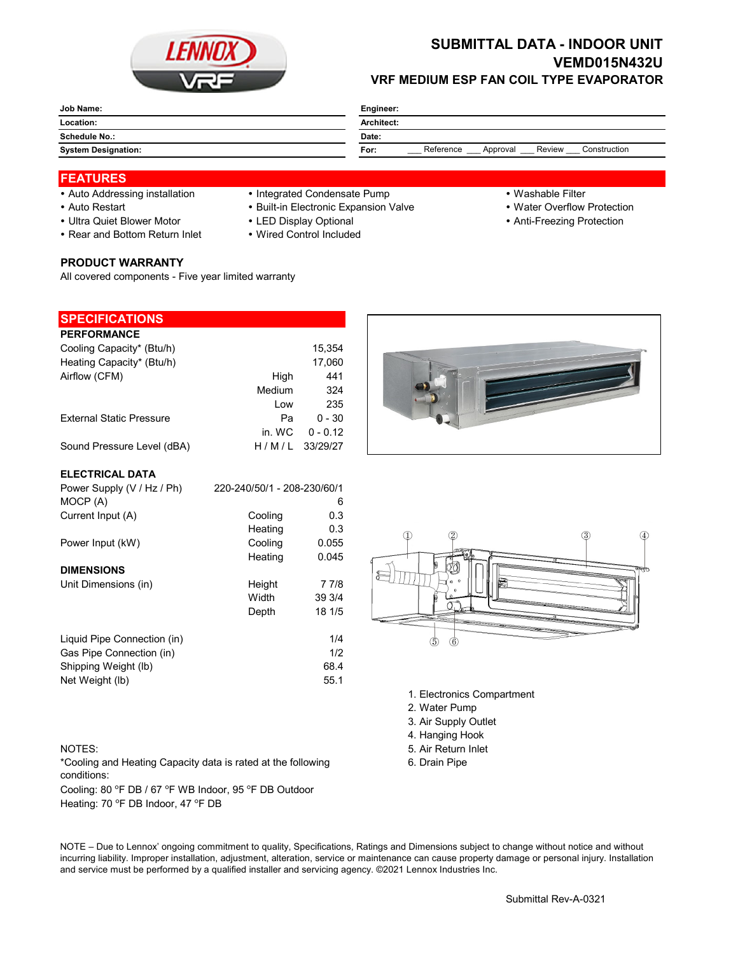

# **SUBMITTAL DATA - INDOOR UNIT VEMD015N432U VRF MEDIUM ESP FAN COIL TYPE EVAPORATOR**

| Job Name:                  | Engineer:                                               |  |  |
|----------------------------|---------------------------------------------------------|--|--|
| Location:                  | Architect:                                              |  |  |
| <b>Schedule No.:</b>       | Date:                                                   |  |  |
| <b>System Designation:</b> | Reference<br>Construction<br>Review<br>For:<br>Approval |  |  |

## **FEATURES**

- 
- 
- Ultra Quiet Blower Motor CED Display Optional **Anti-Freezing Protection** Anti-Freezing Protection
- Rear and Bottom Return Inlet Wired Control Included

## **PRODUCT WARRANTY**

All covered components - Five year limited warranty

## • Auto Addressing installation • Integrated Condensate Pump • Washable Filter

- Auto Restart **Built-in Electronic Expansion Valve Water Overflow Protection** 
	-
	-
- 
- 
- 

|        | 15.354     |
|--------|------------|
|        | 17,060     |
| High   | 441        |
| Medium | 324        |
| Low    | 235        |
| Pа     | $0 - 30$   |
| in. WC | $0 - 0.12$ |
| H/M/L  | 33/29/27   |
|        |            |

### **ELECTRICAL DATA**

| Power Supply (V / Hz / Ph)  | 220-240/50/1 - 208-230/60/1 |        |
|-----------------------------|-----------------------------|--------|
| MOCP (A)                    |                             | 6      |
| Current Input (A)           | Cooling                     | 0.3    |
|                             | Heating                     | 0.3    |
| Power Input (kW)            | Cooling                     | 0.055  |
|                             | Heating                     | 0.045  |
| <b>DIMENSIONS</b>           |                             |        |
| Unit Dimensions (in)        | Height                      | 7 7/8  |
|                             | Width                       | 39 3/4 |
|                             | Depth                       | 18 1/5 |
| Liquid Pipe Connection (in) |                             | 1/4    |
| Gas Pipe Connection (in)    |                             | 1/2    |
| Shipping Weight (lb)        |                             | 68.4   |
| Net Weight (lb)             |                             | 55.1   |

\*Cooling and Heating Capacity data is rated at the following conditions:

Cooling: 80 °F DB / 67 °F WB Indoor, 95 °F DB Outdoor Heating: 70 °F DB Indoor, 47 °F DB



- 1. Electronics Compartment
- 2. Water Pump
- 3. Air Supply Outlet
- 4. Hanging Hook
- NOTES: 5. Air Return Inlet
	- 6. Drain Pipe

NOTE – Due to Lennox' ongoing commitment to quality, Specifications, Ratings and Dimensions subject to change without notice and without incurring liability. Improper installation, adjustment, alteration, service or maintenance can cause property damage or personal injury. Installation and service must be performed by a qualified installer and servicing agency. ©2021 Lennox Industries Inc.